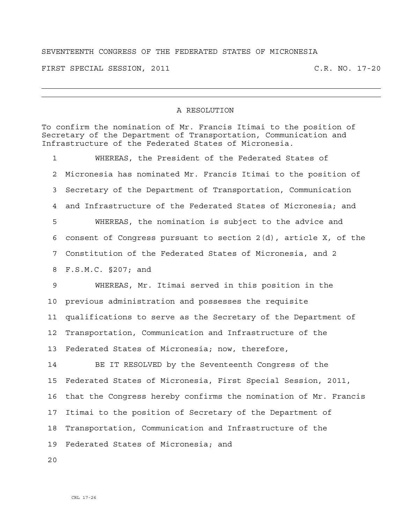## SEVENTEENTH CONGRESS OF THE FEDERATED STATES OF MICRONESIA

FIRST SPECIAL SESSION, 2011 C.R. NO. 17-20

## A RESOLUTION

To confirm the nomination of Mr. Francis Itimai to the position of Secretary of the Department of Transportation, Communication and Infrastructure of the Federated States of Micronesia.

1 WHEREAS, the President of the Federated States of 2 Micronesia has nominated Mr. Francis Itimai to the position of 3 Secretary of the Department of Transportation, Communication 4 and Infrastructure of the Federated States of Micronesia; and 5 WHEREAS, the nomination is subject to the advice and 6 consent of Congress pursuant to section 2(d), article X, of the 7 Constitution of the Federated States of Micronesia, and 2 8 F.S.M.C. §207; and

9 WHEREAS, Mr. Itimai served in this position in the 10 previous administration and possesses the requisite 11 qualifications to serve as the Secretary of the Department of 12 Transportation, Communication and Infrastructure of the 13 Federated States of Micronesia; now, therefore,

14 BE IT RESOLVED by the Seventeenth Congress of the 15 Federated States of Micronesia, First Special Session, 2011, 16 that the Congress hereby confirms the nomination of Mr. Francis 17 Itimai to the position of Secretary of the Department of 18 Transportation, Communication and Infrastructure of the 19 Federated States of Micronesia; and

 $2.0$